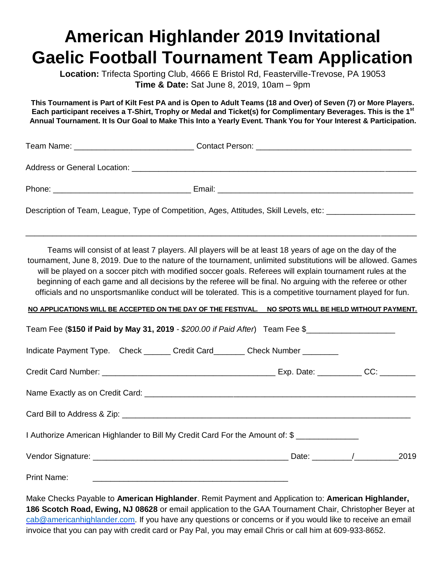## **American Highlander 2019 Invitational Gaelic Football Tournament Team Application**

**Location:** Trifecta Sporting Club, 4666 E Bristol Rd, Feasterville-Trevose, PA 19053 **Time & Date:** Sat June 8, 2019, 10am – 9pm

**This Tournament is Part of Kilt Fest PA and is Open to Adult Teams (18 and Over) of Seven (7) or More Players. Each participant receives a T-Shirt, Trophy or Medal and Ticket(s) for Complimentary Beverages. This is the 1st Annual Tournament. It Is Our Goal to Make This Into a Yearly Event. Thank You for Your Interest & Participation.**

Team Name: \_\_\_\_\_\_\_\_\_\_\_\_\_\_\_\_\_\_\_\_\_\_\_\_\_\_\_ Contact Person: \_\_\_\_\_\_\_\_\_\_\_\_\_\_\_\_\_\_\_\_\_\_\_\_\_\_\_\_\_\_\_\_\_\_\_

Address or General Location:  $\Box$ 

| Phone |                  |
|-------|------------------|
|       | .moul            |
| ___   | -2011.<br>______ |

Description of Team, League, Type of Competition, Ages, Attitudes, Skill Levels, etc: \_\_\_\_\_\_\_\_\_\_\_\_\_\_\_\_\_\_\_\_\_\_\_\_

Teams will consist of at least 7 players. All players will be at least 18 years of age on the day of the tournament, June 8, 2019. Due to the nature of the tournament, unlimited substitutions will be allowed. Games will be played on a soccer pitch with modified soccer goals. Referees will explain tournament rules at the beginning of each game and all decisions by the referee will be final. No arguing with the referee or other officials and no unsportsmanlike conduct will be tolerated. This is a competitive tournament played for fun.

\_\_\_\_\_\_\_\_\_\_\_\_\_\_\_\_\_\_\_\_\_\_\_\_\_\_\_\_\_\_\_\_\_\_\_\_\_\_\_\_\_\_\_\_\_\_\_\_\_\_\_\_\_\_\_\_\_\_\_\_\_\_\_\_\_\_\_\_\_\_\_\_\_\_\_\_\_\_\_\_\_\_\_\_\_\_\_\_

## **NO APPLICATIONS WILL BE ACCEPTED ON THE DAY OF THE FESTIVAL. NO SPOTS WILL BE HELD WITHOUT PAYMENT.**

| Team Fee (\$150 if Paid by May 31, 2019 - \$200.00 if Paid After) Team Fee \$               |  |  |
|---------------------------------------------------------------------------------------------|--|--|
| Indicate Payment Type. Check _______ Credit Card_______ Check Number ________               |  |  |
|                                                                                             |  |  |
| Name Exactly as on Credit Card: <b>Canadian Access 2018</b> Name Exactly as on Credit Card: |  |  |
|                                                                                             |  |  |
| I Authorize American Highlander to Bill My Credit Card For the Amount of: \$                |  |  |
|                                                                                             |  |  |
|                                                                                             |  |  |

Make Checks Payable to **American Highlander**. Remit Payment and Application to: **American Highlander, 186 Scotch Road, Ewing, NJ 08628** or email application to the GAA Tournament Chair, Christopher Beyer at [cab@americanhighlander.com.](mailto:cab@americanhighlander.com) If you have any questions or concerns or if you would like to receive an email invoice that you can pay with credit card or Pay Pal, you may email Chris or call him at 609-933-8652.